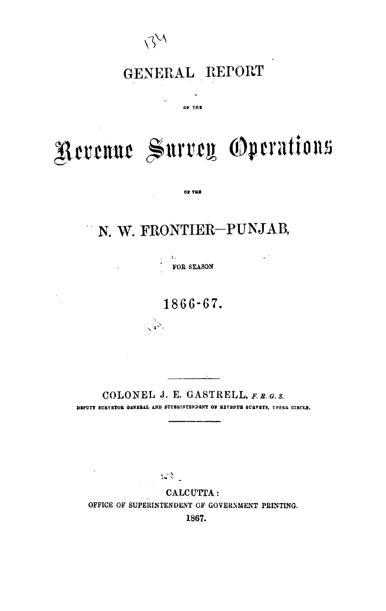

 $\hat{Q}$ 

## GENERAL REPORT

OF THE

# Revenue Survey Operations

### **N.** W. FRONTIER-PUNJAB,

**OF THE** 

**FOB SEASON** 

 $\varphi^{(1)}$ 

. ..

 $\frac{1}{2}$ 

1866-67.

**COLONEL J. E. GASTRELL, F. R. G.** s. **DEPUTT SURVETOE GENEBAL AND SUPBEINTENDENT OF BEVENUE SURVETS, UPPER CIBCLB.** 

 $\mathbb{R}^{2N}$ 

**CALCUTFA** : **OFFICE OF SUPERINTENDENT OF GOVERNMENT PRINTING. 1867.**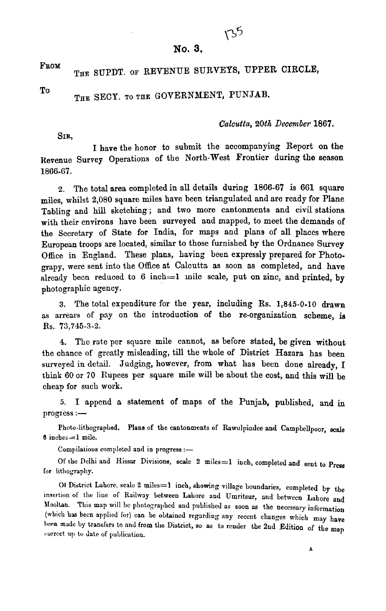#### **No. 3.**

 $135$ 

FROM

### THE SUPDT. OF REVENUE SURVEYS, UPPER CIRCLE,

To

### THE SECY. TO THE GOVERNMENT, PUNJAB.

#### Calcutta, 20th *Decernbev* 1867.

**SIR,** 

**I** have the honor to submit the accompanying Report on the Revenue Survey Operations of the North-West Frontier during the season 1866.67.

**2.** The total area completed in all details during 1866-67 is 661 square miles, whilst 2,080 square miles have been triangulated and are ready for Plane Tabling and **hill** sketching; and two more cantonments and civil stations with their environs have been surveyed and mapped, to meet the demands of the Secretary of State for India, for maps and plans of all places where Europan troops are located, similar to those furnished by the Ordnance Survey Office in England. These plans, having been expressly prepared for Photograpy, were sent into the Office at Calcutta as soon as completed, and have already been reduced to 6 inch=1 mile scale, put on zinc, and printed, by photographic agency.

**3.** The total expenditure for the year, including Rs. 1,845-0-10 drawn as arrears of pay on the introduction of the re-organization scheme, is Rs. 73,745-3-2.

**4.** The rate per square mile cannot, as before stated, be given without the chance of greatly misleading, till the whole of District Hazara has been surveyed in detail. Judging, however, from what has been done already, I think 60 or 70 Rupees per square mile will be about the cost, and this will be cheap for such work.

**5. I** append **o** statement of maps of the Punjab, published, and in progress :-

Photo-lithographed. Plans of the cantonments of Rawulpindee and Campbellpoor, scale **6** inchcs=l mile.

Compilations completed and in progress :-

Of the Dclhi and Hissar Divisions, scale **2** miles=l iuch, completed and sent to press lor lithography.

**~t** District Lahorc, scale 2 miles=l inch, showing village boundaries, completed **by** the insertion of the line of Railway between Lahore and Umritsur, and between Lahore and Mooltan. This map will be photographed and published as soon as the necessary information (which has been applied for) can be obtained regarding any recent changes which may have lvwn mndc Iry transfers to **aud** from tlie District, so as **to** rcuder the 2nd Edition of the **map**  correct up to date of publication.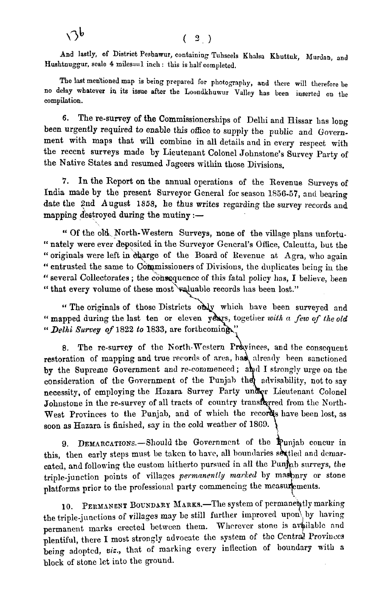$\sqrt{6}$ 

**And lastly, of District Peshawur, containing Tuhseels Khalsa Khuttuk, Aiurdan, and Hushtnuggur, scale 4 miles=l inch** : **this is half completed.** 

The last mentioned map is being prepared for photography, and there will therefore be **no delay whatever in its issue after the Loondlihumur Valley has bcen iuserted on the compilation.** 

6. The re-survey of the Commissionerships of Delhi and Elissar has long been urgently required to enable this ofice to supply the public and Government with maps that will combine in all details and in every respect with the recent surveys made by Lieutenant Colonel Johnstone's Survey Party of the Native States and resumed Jageers within those Divisions.

**7.** In the Report on the annual operations of the Revenue Surveys of India made by the present Surveyor General for season 1856-57, and bearing date the 2nd August **1859,** he thus writes regarding the survey records and mapping destroyed during the mutiny  $:$ -

Of the ON. North-Western Surveys, none of the village plans unfortu- " nately were ever deposited in the Surveyor General's Office, Calcutta, but the " originals were left in charge of the Board of Revenue at Agra, who again " entrusted the same to Commissioners of Divisions, the duplicates being in the " several Collectorates; the consequence of this fatal policy has, I believe, been " that every volume of these most valuable records has been lost."

" The originals of those Districts only which have been surveyed and " mapped during the last ten or eleven years, together with a few of the old *Delhi Survey* **of 1822 to 1833,** 

8. The re-survey of the North-Western Provinces, and the consequent restoration of mapping and true records of area, has already been sanctioned by the Supreme Government and re-commenced; and I strongly urge on the consideration of the Government of the Punjab they advisability, not to say necessity, of employing the Hazara Survey Party under Lieutenant Colonel Johnstone in the re-survey of all tracts of country transferred from the North-West Provinces to the Punjab, and of which the records have been lost, as soon as Hazara is finished, say in the cold weather of 1869.

9. DEMARCATIONS.-Should the Government of the Punjab concur in this, then early steps must be taken to have, all boundaries settled and demarcated, and following the custom hitherto pursued in all the Punjab surveys, the triple-junction points of villages *permanently marked* by masonry or stone platforms prior to the professional party commencing the measurements.

10. PERMANENT BOUNDARY MARKS. The system of permanently marking the triple-junctions of villages may be still further improved upon by having permanent marks erected between them. Wherever stone is available and plentiful, there I most strongly advocate the system of the Central Provinces being adopted, viz., that of marking every inflection of boundary with a block of stone let into the ground.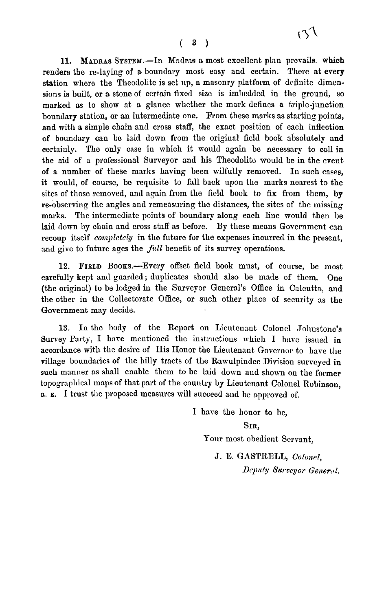11. MADRAS SYSTEM.-In Madras a most excellent plan prevails. which renders the re-laying of a boundary most easy and certain. There at every station where the Theodolite is set up, a masonry platform of definite dimcnsions is built, or a stone of certain fixed size is imbcdded in the ground, so marked as to show at a glancc whether the mark defines a triplc-junction boundary station, or an intermediate one. From these marks as starting points, and with a simple chain and cross staff, the exact position of each inflcction of boundary can be laid down from the original ficld book absolutely and certainly. The only case in which it mould again be necessary to **call** in the aid of a professional Surveyor and his Theodolite mould bc in the event of a number of these marks having been wilfully removed. In such cases, it would, of course, be requisite to fall back upon the marks nearest to the sites of those removed, and again from the ficld book to fix from them, by re-observing the angles and remeasuring thc distances, the sites of the missing marks. The intermediate points of boundary along each line would then be laid down by chain and cross staff as before. By these means Government can recoup itself *completely* in the future for the expenses incurred in the present, and give to future ages the *full* benefit of its survey operations.

12. FIELD BOOKS.-Every offset field book must, of course, be most carefully kcpt and guarded ; duplicates should also be made of them. One (the original) to be lodged in the Surveyor General's Office in Calcutta, and the other in the Collectorate office, or such other place of security as the Government may decide.

13. In the body of the Report on Lieutenant Colonel Johnstone's Survey Party, I have mentioned the instructions which I have issued in accordance with the desire of His Honor the Lieutenant Governor to have the Pillage boundaries of the hilly tracts of tho Ramulpindee Division surveyed in such manner as shall enable them to be laid down and shown on the former topographical maps of that part of the country by Lieutenant Colonel Robinson, **R. E.** I trust the proposed measures will succeed and be approved 01'.

> I have the honor to be. **SIR,**

> > Your most obedient Servant.

J. E. GASTRELL, *Colonel*, *Deputy Surveyor General.*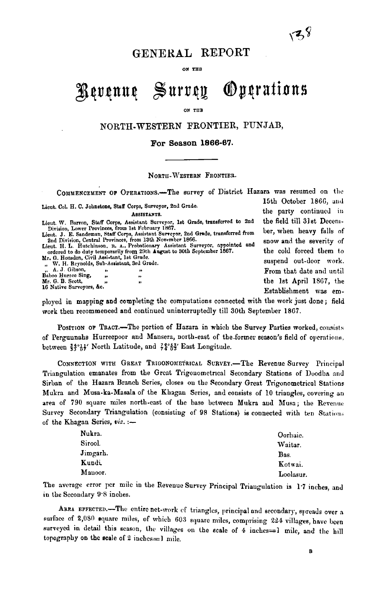### **GENEKAL REPORT**

ON THE

#### $\sim$  Survey **Oygrations** Revenue

ON THE

#### NORTH-WESTERN **FRONTIER, PUNJAB,**

#### **For Season 1866-67.**

#### NORTH-WESTERN FRONTIER.

COMMENCEMENT OF OPERATIONS.-The survey of District Hazara was resumed on the 15th October 1866, and Lieut. Col. H. C. Johnstone, Staff Corps, Surveyor, 2nd Grade. the party continued in **ABSISTANTS.** Lieut. W. Barron, Staff Corps, Assistant Surveyor, 1st Grade, transferred **to 2nd** the field till 31st Deceni-<br> **Lightion, Lower Provinces, from a Assistant Surveyor, 2nd Grade, transferred from ber, when heavy falls of** Division, Lower Provinces, from 1st February 1867.<br>Lieut. J. E. Sandeman, Staff Corps, Assistant Surreyor, 2nd Grade, transferred from ber, when heavy falls of 2nd Division, Central Provinces, from 13th November 1866.<br>Lieut. H. L. Hutchinson, n. *A.*, Probationary Assistant Surveyor, appointed and **and and and and and an**d the severity of stratered to do duty temporarily from 29th August to 30th September 1867. the cold forced them to the cold forced them to the cold forced them to the cold forced them to the cold forced them to surface and the strate of ;: **A. J ~ibs'on.** ' ,, **Dnboo Hurrce Sing,** ,, **Mr. G. D. Scott,**  From that date and until ò. **16 Nntive Surveyors, &c. 16 Native Surveyors, &c.** tbe 1st April 1567, the " Establishment **was** em-

ployed in mapping and completing the computations connected with the work just done; field work theu recommenced and continued uninterruptedly till 30th September 1867.

POSITION OF TRACT.-The portion of Hazara in which the Survey Parties worked, consists of Perguunahs Hurreepoor and Mansera, north-east of the former season's field of operations. between  $\frac{34}{35}$ <sup>4</sup>/<sub>2</sub><sup>4</sup>/<sub>2</sub><sup>4</sup>/<sub>2</sub><sup>4</sup>/<sub>2</sub><sup>6</sup>/<sub>2</sub><sup>5</sup>/<sub>2</sub><sup>6</sup>/<sub>2</sub><sup>5</sup>/<sub>2</sub><sup>5</sup>/<sub>2</sub><sup>5</sup>/<sub>2</sub><sup>5</sup>/<sub>2</sub><sup>5</sup>/<sub>2</sub><sup>5</sup>/<sub>2</sub><sup>5</sup>/<sub>2</sub><sup>5</sup>/<sub>2</sub><sup>5</sup>/<sub>2</sub><sup>5</sup>/<sub>2</sub><sup>5</sup>/<sub>2</sub><sup>5</sup>/<sub>2</sub><sup>5</sup>/<sub>2</sub><sup>5</sup>/<sub>2</sub><sup>5</sup>/<sub>2</sub><sup>5</sup>/<sub>2</sub><sup>5</sup>/<sub>2</sub><sup>5</sup>/<sub>2</sub><sup>5</sup>/<sub>2</sub><sup>5</sup>/<sub>2</sub><sup>5</sup>/<sub>2</sub><sup>5</sup>/<sub>2</sub>

CONNECTION WITH GREAT TRIGONOMETRICAL SURVEY.-The Revenue Survey Principal Triangulation emanates from the Great Trigonometrical Secondary Stations of Doodha and Sirban of the Hazara Branch Series, closes on the Secondary Great Trigonometrical Stations Mukra and Musa-ka-Masala of the Khagan Series, and consists of 10 triangles, covering an area of 790 square miles north-east of the base between Mukra and Musa; the Revenue Survey Secondary Triangulation (consisting of 98 Stations) is connected with ten Stations of the Khagan Series, viz. :-

| Oorhaie.  |
|-----------|
| Waitar.   |
| Bas.      |
| Kotwai.   |
| Loolasur. |
|           |

The average error per mile in the Revenue Survey Principal Triangulation is 1.7 inches, and in the Secondary **9.8** inches.

AREA EFFECTED.-The entire net-work of triangles, principal and secondary, spreads over a surface of 2,080 equare miles, of which 603 square miles, comprising 224 villages, have been surveyed in detail this season, the villages on the scale of 4 inches=1 mile, and the hill topography on the scale of 2 inches $=$ l mile.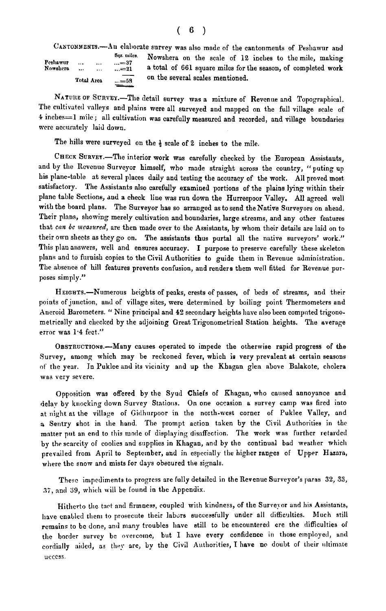|          |            |           | Sqr. miles.  |   |
|----------|------------|-----------|--------------|---|
| Peshawur | $\cdots$   | $\cdots$  | $ = 37$      |   |
| Nowshera |            | $\ddotsc$ | $\dots = 21$ | ٤ |
|          | Total Area |           | $ = 58$      |   |

CANTONMENTS.—An elaborate survey was also made of the cantonments of Peshawur and<br>  $\begin{array}{ccc}\n\text{Squ. miles} & \text{Now,} & \text{and} & \text{for the scale of 12 inches to the mile, making} \\
\text{Nalm. m.} & \text{in.} & \text{in.} & \text{in.} \\
\text{Foklera} & \text{in.} & \text{in.} & \text{in.} \\
\text{Total Area} & \text{in.} & \text{in.} & \text{in.}$ Nowshera on the scale of 12 inches to the mile, making<br>a total of 661 square miles for the season, of completed work

NATURE OF SURVEY.-The detail survey was a mixture of Revenue and Topographical. The cultivated valleys and plains were all surveyed and mapped on the full village scale of 4 inches=1 mile; all cultivation was carefully measured and recorded, and village boundaries were accurately laid down.

The hills were surveyed on the **4** scale of **2** inches to the mile.

CHECK SURVEY.-The interior work was carefully checked by the European Assistants, and by the Revenue Surveyor himself, who made straight across the country, " puting up his plane-table at several places daily and testing the accuracy of the work. All proved most satisfactory. The Assistants also carefully examined portions of the plains lying within their plane table Sections, and a check line was run down the Hurreepoor Valley. All agreed well with the board plans. The Surveyor has so arranged as to send the Native Surveyors on ahead. Their plans, showing merely cultivation and boundaries, large streams, and any other features that *can be measured*, are then made over to the Assistants, by whom their details are laid on to their own sheets as they go on. The assistants thus purtal all the native surveyors' work." This plan answers, well and ensures accuracy. I purpose to preserve carefully these skeleton plans and to furnish copies to the Civil Authorities to guide them in Revenue administration. The absence of hill features prevents confusion, and renders them well fitted for Revenue purposes simply."

HEIGHTS.-Numerous heights of peaks, crests of passes, of beds of streams, and their points of junction, aud of village sites, were determined by boiling point Thermometers and Aneroid Barometers. " Nine principal and 42 secondary heights have also been compnted trigonometrically and chcclced by the adjoining Great Trigonometrical Station heights. The average error was 1.4 feet."

OBSTRUCTIONS.-Many causes operated to impede the otherwise rapid progress of the Survey, among which may be reckoned fever, which is very prevalent at certain seasons of the year. In Puklee and its vicinity and up the Khagan glen above Balakote, cholera was very severe.

Opposition was offered by the Syud Chiefs of Khagan, who caused annoyance and delay by knocking down Survey Stations. On one occasion a survey camp was fired into at night at the village of Gidhurpoor in the north-west corner of Puklee Valley, and a Sentry shot in the hand. The prompt action taken by the Civil Authorities in the matter put an end to this mode of displaying disaffection. The work was further retarded by the scarcity of coolies and supplies in Ichagan, and by the continual bad weather which prevailed from April to September, and in especially the higher ranges of Upper Hazara, where the snow and mists for days obscured the signals.

Thesc impediments to progrcss are fully detailed in the Revenue Surveyor's paras 32, 33, 37, and 39, which will be found in the Appendix.

Hitherto the tact and firmness, coupled with kindness, of the Surveyor and his Assistants, have enabled them to prosecute their labors successfully under all difficulties. Much still remains to be done, and many troubles have still to be encountered ere the difficulties of the border survey be overcome, but I have every confidence in those employed, and cordially aided, as they are, by the Civil Authorities, I have no doubt of their ultimate ucccss.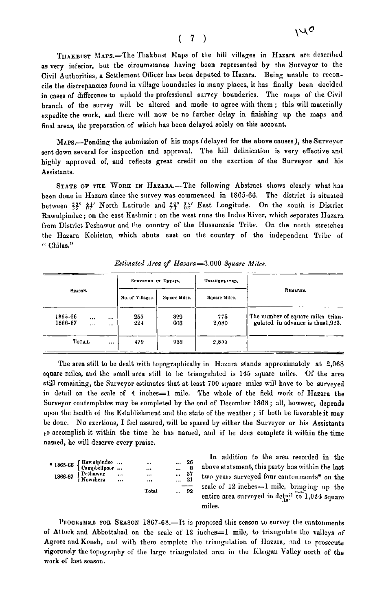#### $(7)$

THAKBUST MAPS.-The Thakbust Maps of the hill villages in Hazara are described **as** very inferior, **but** the circumstance having been represented by the Sorveyor to the Civil Authorities, a Settlement Oficer has been deputed to Hazara. Being unable to reconcile the discrepancies found in village boundaries in many places, it has finally been decided in cases of difference to uphold the professional survcy boundaries. The maps of the Civil branch of the survey mill be altered and made to agree with them ; this will materially expedite the work, and there will now be no further delay in finishing up the maps and final areas, the preparation of which has been delayed solely on this account.

MAPS.-Pending the submission of his maps (delayed for the above causes), the Surveyor sent down several for inspection and approval. The hill delinication is very effective and highly approved of, and reflects great credit on the exertion of the Surveyor and his Assistants.

STATE OF THE WORK IN HAZARA.-The following Abstract shows clearly what has been done in Hazara since thc survey was commenced in 1865-66. The district is situated between  $\frac{32}{5}$   $\frac{44}{5}$  North Latitude and  $\frac{22}{5}$   $\frac{84}{5}$  East Longitude. On the south is District Rawulpindee; on the east Kashmir; on the west runs the Indus River, which separates Hazara from District Peshawur and the country of the Hussunzaie Tribe. On the north stretches the Hazara Kohistan, which abuts east on the country of the independent Tribe of " Chilas."

| SRABON.            |                      | SURVEYED IN DETAIL. |               | TRIANGULATED. |              |                                                                        |
|--------------------|----------------------|---------------------|---------------|---------------|--------------|------------------------------------------------------------------------|
|                    |                      | No. of Villages.    | Sounce Miles. | Square Miles. | REMARKS.     |                                                                        |
| 1865-66<br>1866-67 | $\cdots$<br>$\cdots$ | $\cdots$<br>        | 255<br>$22+$  | 329<br>603    | 775<br>2,080 | The number of square miles trian-<br>gulated in advance is thus 1,923. |
| TOTAL              |                      | $\cdots$            | 479           | 932           | 2.855        |                                                                        |

Estimated Area of Hazara=3,000 Square Miles.

The area still to be dealt with topographically in Hazara stands approximately at  $2,068$ square miles, and the small area still to be triangulated is 145 square miles. OF the area still remaining, the Surveyor estimates that at least 700 square miles will have to be surveyed in detail on the scale of  $4$  inches $=1$  mile. The whole of the field work of Hazara the Surveyor contemplates may be completed by the end of December 1868; all, however, depends upon the health of the Establishment and the state of the weather; if both be favorable it may be donc. No escrtious, I feel assured, mill be spared by either the Surveyor or his Assistants to accomplish it within the time he has named, and if he docs complete it within the time named, he will deserve every praise.

| $\bullet$ 1865-66 $\left\{\begin{array}{ccc} Rawulphdec \dots \\ Campbellpoor \dots \end{array}\right\}$<br>1866-67 Peshawur<br>Nowsbera | $\cdots$<br>$\cdots$ | $\cdots$<br><br><br><br>Total | $\ddotsc$<br>21 | $\ldots$ 26<br>37<br>$\ldots$ 92 | In addition to the area recorded in the<br>above statement, this party has within the last<br>two years surveyed four cantonments* on the<br>scale of 12 inches $=$ 1 mile, bringing up the<br>entire area surveyed in detail to 1,024 square |
|------------------------------------------------------------------------------------------------------------------------------------------|----------------------|-------------------------------|-----------------|----------------------------------|-----------------------------------------------------------------------------------------------------------------------------------------------------------------------------------------------------------------------------------------------|
|                                                                                                                                          |                      |                               |                 |                                  | miles                                                                                                                                                                                                                                         |

In addition to the area recorded in the **1865.66** { **Rnn.ulpindcc** ... ... ... **<sup>26</sup>Cnmpbellpour** ... ... ... **8** abovc statement, this party has mithin the last rea surveyed in detail to 1,021 square miles.

PROGRAMME FOR SEASON 1867-68.-It is proposed this season to survey the cantonments of Attock and Abbottabad on the scale of  $12$  inches=1 mile, to triangulate the valleys of Agrore and Konsh, and with them complete the triangulation of Hazara, and to prosecute vigorously the topography of the large triangulated area in the Khagau Valley north of the work of last scason.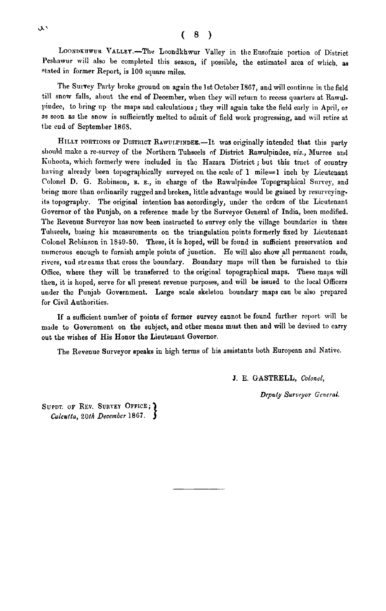LOONDKIIWUR VALLEY.-The Loondkhwur Valley in the Eusofzaie portion of District Peshawur will also be completed this season, if possible, the estimated area of which, as stated in former Report, is 100 squnre miles.

The Survey Party broke ground on again the 1st October I867, and will continue in the field till snow falls, about the end of December, when they will return to recess quarters at Rawulpiudee, to bring up the maps and calculations; they will again take the field early in April, or as soon **ns** the snow is sufficiently melted to admit of field work progressing, and will retire at thc cud of September **18GS.** 

HILLY PORTIONS OF DISTRICT RAWULPINDEE.-It was originally intended that this party should maltc a re-survey of the Northern Tuhseels of District Rawulpindee, *viz.,* Murree and Kuhoota, which formerly were included in the Hazara District; but this tract of country having already been topographically surveyed on the scale of 1 mile=1 inch by Lieutenant Colonel D. G. Robinson, R. E., in charge of the Rawulpindee Topographical Survey, and being more than ordinarily rugged and broken, little advantage would be gained by resurveyingits topography. The original intention bas accordingly, under the orders of the Licutennnt Governor of the Punjab, on a reference made by the Surveyor Genernl of India, been modified. The Revenue Surveyor has now been instructed to survey only the village boundaries in these Tuhseels, basing his measurements on the triangulation points formerly fixed by Lieutenant Colonel Rebinson in 1849-50. These, it is hoped, will be found in sufficient preservation and numerous enough to furnish ample points of junction. He will also show all permanent roads, rivers, tud streams that cross the boundary. Boundary maps will then be furnished to this Office, where they will be transferred to the original topographical maps. These maps mill then, it is hoped, serve for all present revenue purposes, and mill be issued to the local Officers under tlie Punjab Government. Large scale skeleton boundary maps can be also prepared for Civil Authorities.

If a sufficient number of points of former survey cannot be found further report will be made to Government on the subject, and other means must then and mill be devised to carry out the wishes of His Honor the Lieutenant Governor.

The Revenue Surveyor speaks in high terms of his assistants both European and Native.

J. E. GASTRELL, Colonel,

 $D$ *cputy Surveyor General.* 

SUPDT. OF REV. SURVEY OFFICE; Calcutta, 20th December 1867.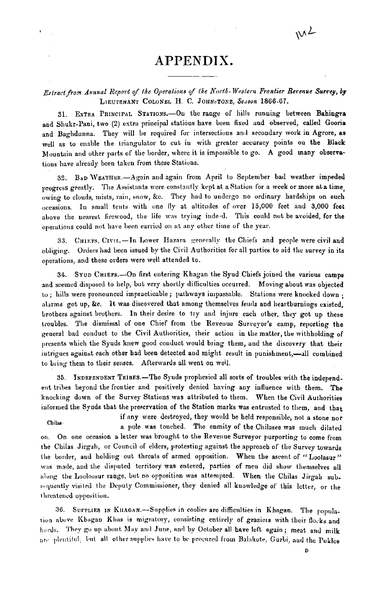### APPENDIX.

#### Estract from Annual Report of the Operations of the North-Western Frontier Revenue Survey, by LIEUTENANT COLONEL H. C. JOHNSTONE, Season 1866-67.

EXTRA PRINCIPAL STATIONS.-On the range of hills running between Bahingra 31. and Shukr-Pani, two (2) extra principal stations have been fixed and observed, called Gooria and Baghdunna. They will be required for intersections and secondary work in Agrore, as well as to enable the triangulator to cut in with greater accuracy points on the Black Mountain and other parts of the border, where it is impossible to go. A good many observations have already been taken from these Stations.

32. BAD WEATHER. - Again and again from April to September bad weather impeded progress greatly. The Assistants were constantly kept at a Station for a week or more at a time. owing to clouds, mists, rain, snow, &c. They had to undergo no ordinary hardships on such occasions. In small tents with one fly at altitudes of over 15,000 feet and 3,000 feet above the nearest firewood, the life was trying inde-d. This could not be avoided, for the operations could not have been carried on at any other time of the year.

CHIEFS, CIVIL.-In Lower Hazara generally the Chiefs and people were civil and 33. obliging. Orders had been issued by the Civil Authorities for all parties to aid the survey in its operations, and these orders were well attended to.

34. Syup Chiers.—On first entering Khagan the Syud Chiefs joined the various camps and seemed disposed to help, but very shortly difficulties occurred. Moving about was objected to ; hills were pronounced impracticable ; pathways impassable. Stations were knocked down ; alarms got up, &c. It was discovered that among themselves feuds and heartburnings existed. brothers against brothers. In their desire to try and injure each other, they got up these troubles. The dismissal of one Chief from the Revenue Surveyor's camp, reporting the general bad conduct to the Civil Authorities, their action in the matter, the withholding of presents which the Syuds knew good conduct would bring them, and the discovery that their intrigues against each other had been detected and might result in punishment,-all combined to bring them to their senses. Afterwards all went on weil.

35. INDEPENDENT TRIBES.-The Syuds prophesied all sorts of troubles with the independent tribes beyond the frontier and positively denied having any influence with them. The knocking down of the Survey Stations was attributed to them. When the Civil Authorities informed the Syuds that the preservation of the Station marks was entrusted to them, and that

if any were destroyed, they would be held responsible, not a stone nor Chilas a pole was touched. The enmity of the Chilasee was much dilated on. On one occasion a letter was brought to the Revenue Surveyor purporting to come from the Chilas Jirgah, or Council of elders, protesting against the approach of the Survey towards the border, and holding out threats of armed opposition. When the ascent of "Loolasur" was made, and the disputed territory was entered, parties of men did show themselves all along the Looloosur range, but no opposition was attempted. When the Chilas Jirgah subsequently visited the Deputy Commissioner, they denied all knowledge of this letter, or the threatened opposition.

36. SUPPLIES IN KHAGAN.-Supplies in coolies are difficulties in Khagan. The population above Khagan Khas is migratory, consisting entirely of graziers with their flocks and herds. They go up about May and June, and by October all have left again; meat and milk are plentiful, but all other supplies have to be procured from Balakote, Gurbi, and the Pukles